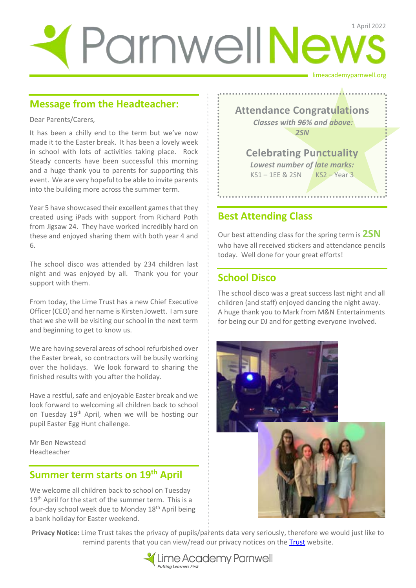# limeacademyparnwell.org ParnwellNews

#### **Message from the Headteacher:**

Dear Parents/Carers,

It has been a chilly end to the term but we've now made it to the Easter break. It has been a lovely week in school with lots of activities taking place. Rock Steady concerts have been successful this morning and a huge thank you to parents for supporting this event. We are very hopeful to be able to invite parents into the building more across the summer term.

Year 5 have showcased their excellent games that they created using iPads with support from Richard Poth from Jigsaw 24. They have worked incredibly hard on these and enjoyed sharing them with both year 4 and 6.

The school disco was attended by 234 children last night and was enjoyed by all. Thank you for your support with them.

From today, the Lime Trust has a new Chief Executive Officer (CEO) and her name is Kirsten Jowett. I am sure that we she will be visiting our school in the next term and beginning to get to know us.

We are having several areas of school refurbished over the Easter break, so contractors will be busily working over the holidays. We look forward to sharing the finished results with you after the holiday.

Have a restful, safe and enjoyable Easter break and we look forward to welcoming all children back to school on Tuesday 19<sup>th</sup> April, when we will be hosting our pupil Easter Egg Hunt challenge.

Mr Ben Newstead Headteacher

## **Summer term starts on 19th April**

We welcome all children back to school on Tuesday 19<sup>th</sup> April for the start of the summer term. This is a four-day school week due to Monday 18th April being a bank holiday for Easter weekend.



#### **Best Attending Class**

Our best attending class for the spring term is **2SN** who have all received stickers and attendance pencils today. Well done for your great efforts!

### **School Disco**

The school disco was a great success last night and all children (and staff) enjoyed dancing the night away. A huge thank you to Mark from M&N Entertainments for being our DJ and for getting everyone involved.



**Privacy Notice:** Lime Trust takes the privacy of pupils/parents data very seriously, therefore we would just like to remind parents that you can view/read our privacy notices on the Trust website.